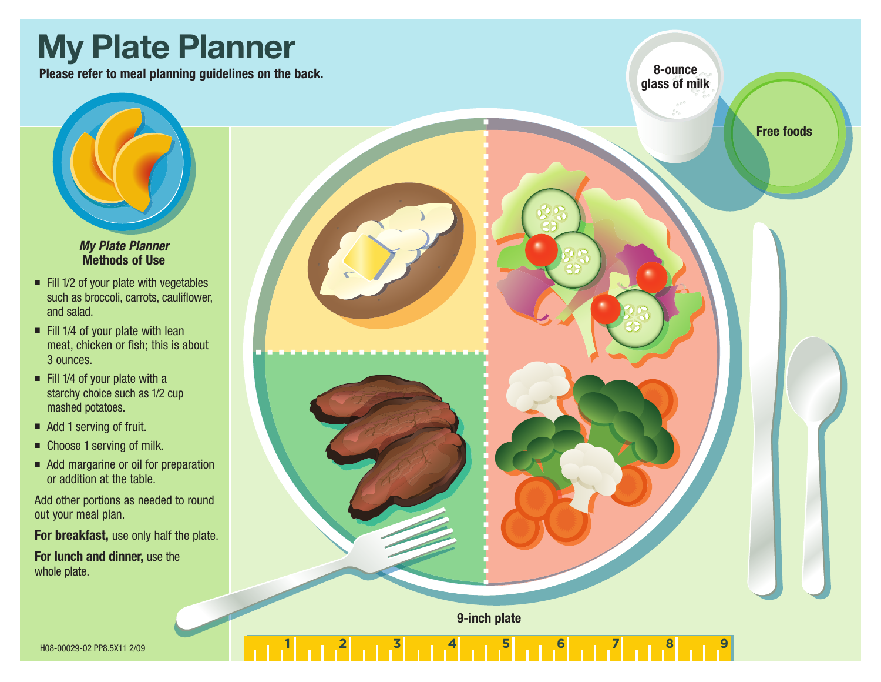# **My Plate Planner**

**Please refer to meal planning guidelines on the back. 8-ounce**

**glass of milk**

**Free foods**

#### *My Plate Planner* **Methods of Use**

- Fill 1/2 of your plate with vegetables such as broccoli, carrots, cauliflower, and salad.
- $\blacksquare$  Fill 1/4 of your plate with lean meat, chicken or fish; this is about 3 ounces.
- Fill 1/4 of your plate with a starchy choice such as 1/2 cup mashed potatoes.
- Add 1 serving of fruit.
- Choose 1 serving of milk.
- Add margarine or oil for preparation or addition at the table.

Add other portions as needed to round out your meal plan.

**For breakfast,** use only half the plate.

**For lunch and dinner,** use the whole plate.

**9-inch plate**

1<sup>3</sup> 1 1 1<sup>4</sup> 1 1 <sup>5</sup> 1 1 1<sup>6</sup> 1 1 <sup>7</sup> 1 1 <sup>8</sup> 1 1 <sup>9</sup>